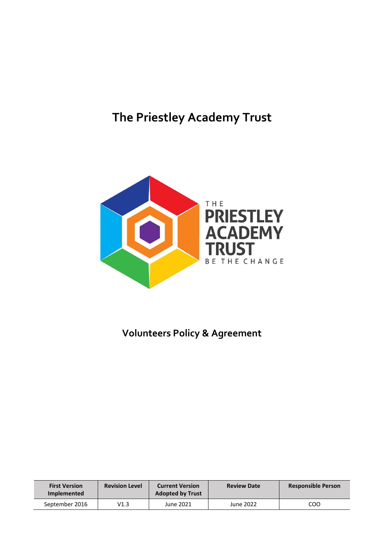# **The Priestley Academy Trust**



# **Volunteers Policy & Agreement**

| <b>First Version</b><br><b>Implemented</b> | <b>Revision Level</b> | <b>Current Version</b><br><b>Adopted by Trust</b> | <b>Review Date</b> | <b>Responsible Person</b> |
|--------------------------------------------|-----------------------|---------------------------------------------------|--------------------|---------------------------|
| September 2016                             | V1.3                  | June 2021                                         | June 2022          | COO                       |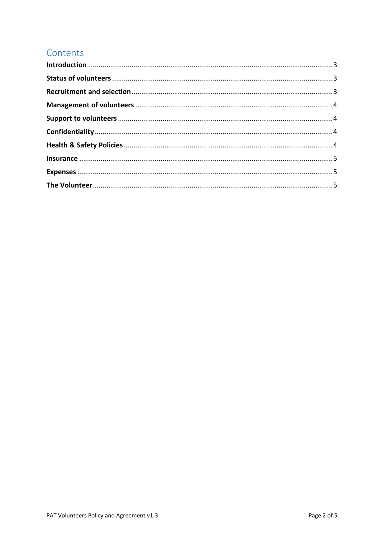# Contents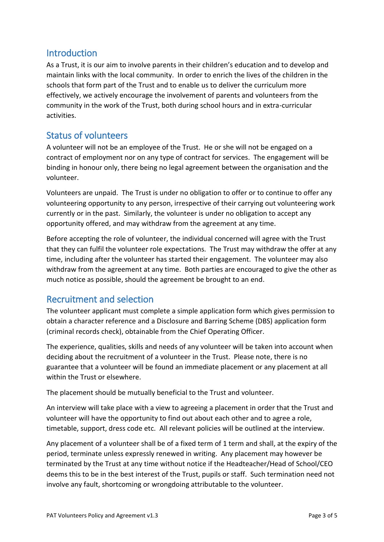#### <span id="page-2-0"></span>**Introduction**

As a Trust, it is our aim to involve parents in their children's education and to develop and maintain links with the local community. In order to enrich the lives of the children in the schools that form part of the Trust and to enable us to deliver the curriculum more effectively, we actively encourage the involvement of parents and volunteers from the community in the work of the Trust, both during school hours and in extra-curricular activities.

#### <span id="page-2-1"></span>Status of volunteers

A volunteer will not be an employee of the Trust. He or she will not be engaged on a contract of employment nor on any type of contract for services. The engagement will be binding in honour only, there being no legal agreement between the organisation and the volunteer.

Volunteers are unpaid. The Trust is under no obligation to offer or to continue to offer any volunteering opportunity to any person, irrespective of their carrying out volunteering work currently or in the past. Similarly, the volunteer is under no obligation to accept any opportunity offered, and may withdraw from the agreement at any time.

Before accepting the role of volunteer, the individual concerned will agree with the Trust that they can fulfil the volunteer role expectations. The Trust may withdraw the offer at any time, including after the volunteer has started their engagement. The volunteer may also withdraw from the agreement at any time. Both parties are encouraged to give the other as much notice as possible, should the agreement be brought to an end.

# <span id="page-2-2"></span>Recruitment and selection

The volunteer applicant must complete a simple application form which gives permission to obtain a character reference and a Disclosure and Barring Scheme (DBS) application form (criminal records check), obtainable from the Chief Operating Officer.

The experience, qualities, skills and needs of any volunteer will be taken into account when deciding about the recruitment of a volunteer in the Trust. Please note, there is no guarantee that a volunteer will be found an immediate placement or any placement at all within the Trust or elsewhere.

The placement should be mutually beneficial to the Trust and volunteer.

An interview will take place with a view to agreeing a placement in order that the Trust and volunteer will have the opportunity to find out about each other and to agree a role, timetable, support, dress code etc. All relevant policies will be outlined at the interview.

Any placement of a volunteer shall be of a fixed term of 1 term and shall, at the expiry of the period, terminate unless expressly renewed in writing. Any placement may however be terminated by the Trust at any time without notice if the Headteacher/Head of School/CEO deems this to be in the best interest of the Trust, pupils or staff. Such termination need not involve any fault, shortcoming or wrongdoing attributable to the volunteer.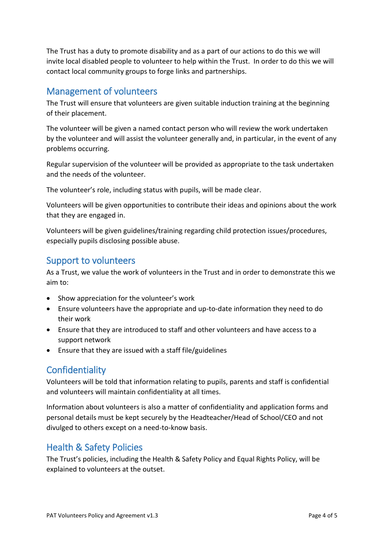The Trust has a duty to promote disability and as a part of our actions to do this we will invite local disabled people to volunteer to help within the Trust. In order to do this we will contact local community groups to forge links and partnerships.

#### <span id="page-3-0"></span>Management of volunteers

The Trust will ensure that volunteers are given suitable induction training at the beginning of their placement.

The volunteer will be given a named contact person who will review the work undertaken by the volunteer and will assist the volunteer generally and, in particular, in the event of any problems occurring.

Regular supervision of the volunteer will be provided as appropriate to the task undertaken and the needs of the volunteer.

The volunteer's role, including status with pupils, will be made clear.

Volunteers will be given opportunities to contribute their ideas and opinions about the work that they are engaged in.

Volunteers will be given guidelines/training regarding child protection issues/procedures, especially pupils disclosing possible abuse.

#### <span id="page-3-1"></span>Support to volunteers

As a Trust, we value the work of volunteers in the Trust and in order to demonstrate this we aim to:

- Show appreciation for the volunteer's work
- Ensure volunteers have the appropriate and up-to-date information they need to do their work
- Ensure that they are introduced to staff and other volunteers and have access to a support network
- Ensure that they are issued with a staff file/guidelines

# <span id="page-3-2"></span>**Confidentiality**

Volunteers will be told that information relating to pupils, parents and staff is confidential and volunteers will maintain confidentiality at all times.

Information about volunteers is also a matter of confidentiality and application forms and personal details must be kept securely by the Headteacher/Head of School/CEO and not divulged to others except on a need-to-know basis.

# <span id="page-3-3"></span>Health & Safety Policies

The Trust's policies, including the Health & Safety Policy and Equal Rights Policy, will be explained to volunteers at the outset.